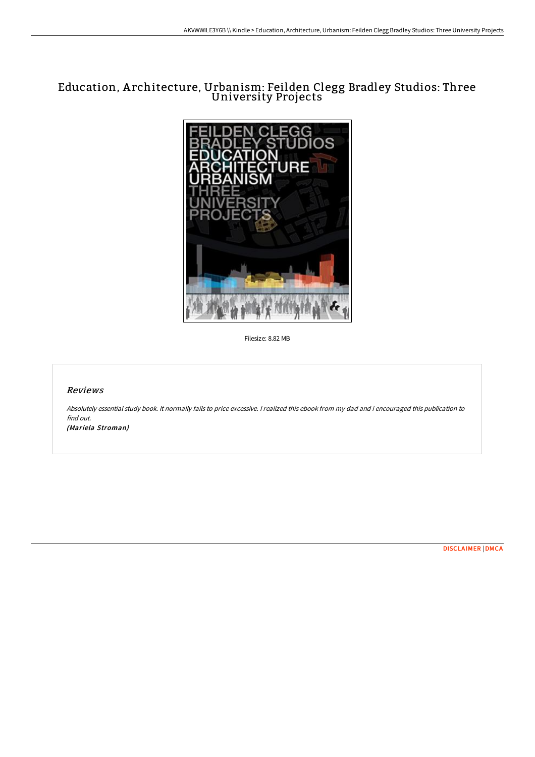# Education, A rchitecture, Urbanism: Feilden Clegg Bradley Studios: Three University Projects



Filesize: 8.82 MB

# Reviews

Absolutely essential study book. It normally fails to price excessive. <sup>I</sup> realized this ebook from my dad and i encouraged this publication to find out.

(Mariela Stroman)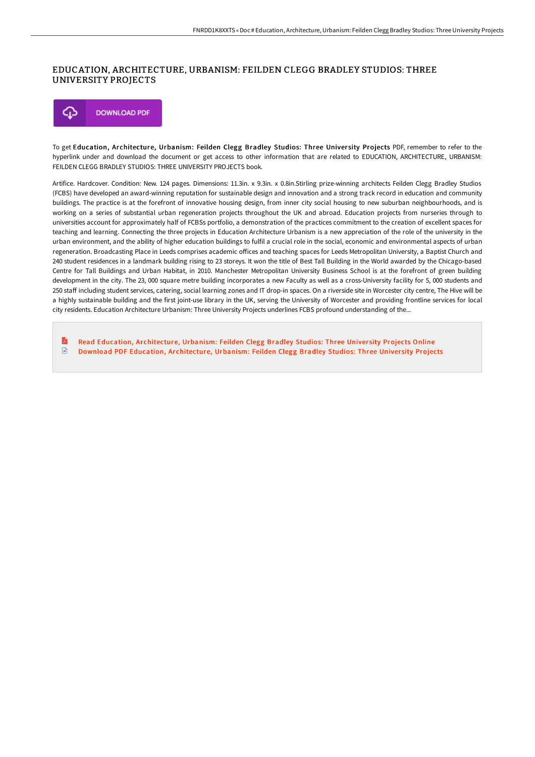#### EDUCATION, ARCHITECTURE, URBANISM: FEILDEN CLEGG BRADLEY STUDIOS: THREE UNIVERSITY PROJECTS



To get Education, Architecture, Urbanism: Feilden Clegg Bradley Studios: Three University Projects PDF, remember to refer to the hyperlink under and download the document or get access to other information that are related to EDUCATION, ARCHITECTURE, URBANISM: FEILDEN CLEGG BRADLEY STUDIOS: THREE UNIVERSITY PROJECTS book.

Artifice. Hardcover. Condition: New. 124 pages. Dimensions: 11.3in. x 9.3in. x 0.8in.Stirling prize-winning architects Feilden Clegg Bradley Studios (FCBS) have developed an award-winning reputation for sustainable design and innovation and a strong track record in education and community buildings. The practice is at the forefront of innovative housing design, from inner city social housing to new suburban neighbourhoods, and is working on a series of substantial urban regeneration projects throughout the UK and abroad. Education projects from nurseries through to universities account for approximately half of FCBSs portfolio, a demonstration of the practices commitment to the creation of excellent spaces for teaching and learning. Connecting the three projects in Education Architecture Urbanism is a new appreciation of the role of the university in the urban environment, and the ability of higher education buildings to fulfil a crucial role in the social, economic and environmental aspects of urban regeneration. Broadcasting Place in Leeds comprises academic oFices and teaching spaces for Leeds Metropolitan University, a Baptist Church and 240 student residences in a landmark building rising to 23 storeys. It won the title of Best Tall Building in the World awarded by the Chicago-based Centre for Tall Buildings and Urban Habitat, in 2010. Manchester Metropolitan University Business School is at the forefront of green building development in the city. The 23, 000 square metre building incorporates a new Faculty as well as a cross-University facility for 5, 000 students and 250 staff including student services, catering, social learning zones and IT drop-in spaces. On a riverside site in Worcester city centre, The Hive will be a highly sustainable building and the first joint-use library in the UK, serving the University of Worcester and providing frontline services for local city residents. Education Architecture Urbanism: Three University Projects underlines FCBS profound understanding of the...

 $\mathbf{E}$ Read [Education,](http://albedo.media/education-architecture-urbanism-feilden-clegg-br.html) Architecture, Urbanism: Feilden Clegg Bradley Studios: Three University Projects Online  $\mathbb{P}$ Download PDF [Education,](http://albedo.media/education-architecture-urbanism-feilden-clegg-br.html) Architecture, Urbanism: Feilden Clegg Bradley Studios: Three University Projects